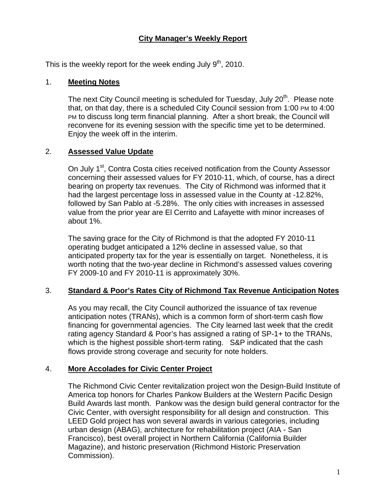# **City Manager's Weekly Report**

This is the weekly report for the week ending July  $9<sup>th</sup>$ , 2010.

#### 1. **Meeting Notes**

The next City Council meeting is scheduled for Tuesday, July 20<sup>th</sup>. Please note that, on that day, there is a scheduled City Council session from 1:00 PM to 4:00 PM to discuss long term financial planning. After a short break, the Council will reconvene for its evening session with the specific time yet to be determined. Enjoy the week off in the interim.

### 2. **Assessed Value Update**

On July 1<sup>st</sup>, Contra Costa cities received notification from the County Assessor concerning their assessed values for FY 2010-11, which, of course, has a direct bearing on property tax revenues. The City of Richmond was informed that it had the largest percentage loss in assessed value in the County at -12.82%, followed by San Pablo at -5.28%. The only cities with increases in assessed value from the prior year are El Cerrito and Lafayette with minor increases of about 1%.

The saving grace for the City of Richmond is that the adopted FY 2010-11 operating budget anticipated a 12% decline in assessed value, so that anticipated property tax for the year is essentially on target. Nonetheless, it is worth noting that the two-year decline in Richmond's assessed values covering FY 2009-10 and FY 2010-11 is approximately 30%.

# 3. **Standard & Poor's Rates City of Richmond Tax Revenue Anticipation Notes**

As you may recall, the City Council authorized the issuance of tax revenue anticipation notes (TRANs), which is a common form of short-term cash flow financing for governmental agencies. The City learned last week that the credit rating agency Standard & Poor's has assigned a rating of SP-1+ to the TRANs, which is the highest possible short-term rating. S&P indicated that the cash flows provide strong coverage and security for note holders.

# 4. **More Accolades for Civic Center Project**

The Richmond Civic Center revitalization project won the Design-Build Institute of America top honors for Charles Pankow Builders at the Western Pacific Design Build Awards last month. Pankow was the design build general contractor for the Civic Center, with oversight responsibility for all design and construction. This LEED Gold project has won several awards in various categories, including urban design (ABAG), architecture for rehabilitation project (AIA - San Francisco), best overall project in Northern California (California Builder Magazine), and historic preservation (Richmond Historic Preservation Commission).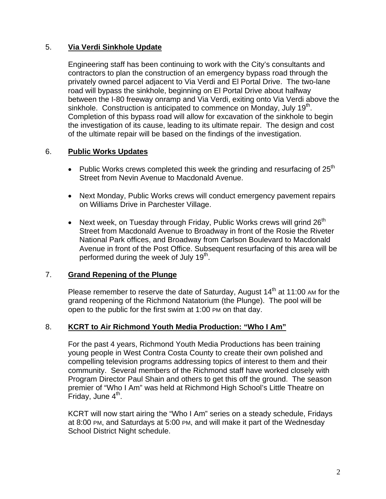### 5. **Via Verdi Sinkhole Update**

Engineering staff has been continuing to work with the City's consultants and contractors to plan the construction of an emergency bypass road through the privately owned parcel adjacent to Via Verdi and El Portal Drive. The two-lane road will bypass the sinkhole, beginning on El Portal Drive about halfway between the I-80 freeway onramp and Via Verdi, exiting onto Via Verdi above the sinkhole. Construction is anticipated to commence on Monday, July  $19<sup>th</sup>$ . Completion of this bypass road will allow for excavation of the sinkhole to begin the investigation of its cause, leading to its ultimate repair. The design and cost of the ultimate repair will be based on the findings of the investigation.

### 6. **Public Works Updates**

- Public Works crews completed this week the grinding and resurfacing of  $25<sup>th</sup>$ Street from Nevin Avenue to Macdonald Avenue.
- Next Monday, Public Works crews will conduct emergency pavement repairs on Williams Drive in Parchester Village.
- Next week, on Tuesday through Friday, Public Works crews will grind  $26<sup>th</sup>$ Street from Macdonald Avenue to Broadway in front of the Rosie the Riveter National Park offices, and Broadway from Carlson Boulevard to Macdonald Avenue in front of the Post Office. Subsequent resurfacing of this area will be performed during the week of July 19<sup>th</sup>.

### 7. **Grand Repening of the Plunge**

Please remember to reserve the date of Saturday, August  $14<sup>th</sup>$  at 11:00 AM for the grand reopening of the Richmond Natatorium (the Plunge). The pool will be open to the public for the first swim at 1:00 PM on that day.

#### 8. **KCRT to Air Richmond Youth Media Production: "Who I Am"**

For the past 4 years, Richmond Youth Media Productions has been training young people in West Contra Costa County to create their own polished and compelling television programs addressing topics of interest to them and their community. Several members of the Richmond staff have worked closely with Program Director Paul Shain and others to get this off the ground. The season premier of "Who I Am" was held at Richmond High School's Little Theatre on Friday, June  $4<sup>th</sup>$ .

KCRT will now start airing the "Who I Am" series on a steady schedule, Fridays at 8:00 PM, and Saturdays at 5:00 PM, and will make it part of the Wednesday School District Night schedule.